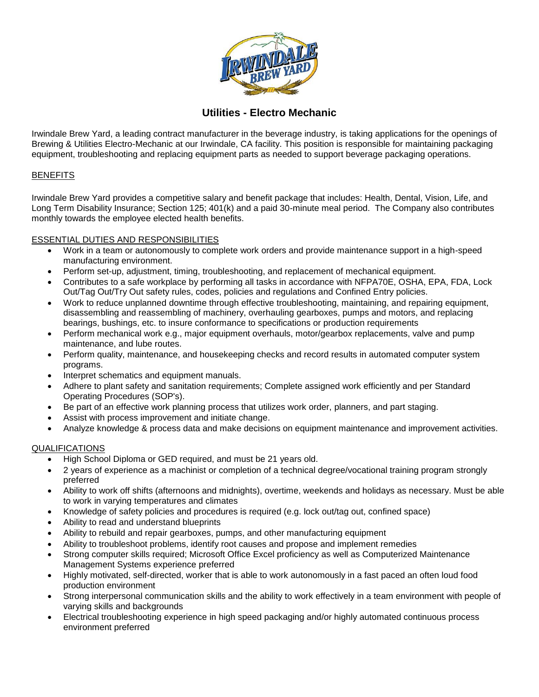

**Utilities - Electro Mechanic**

Irwindale Brew Yard, a leading contract manufacturer in the beverage industry, is taking applications for the openings of Brewing & Utilities Electro-Mechanic at our Irwindale, CA facility. This position is responsible for maintaining packaging equipment, troubleshooting and replacing equipment parts as needed to support beverage packaging operations.

# **BENEFITS**

Irwindale Brew Yard provides a competitive salary and benefit package that includes: Health, Dental, Vision, Life, and Long Term Disability Insurance; Section 125; 401(k) and a paid 30-minute meal period. The Company also contributes monthly towards the employee elected health benefits.

### ESSENTIAL DUTIES AND RESPONSIBILITIES

- Work in a team or autonomously to complete work orders and provide maintenance support in a high-speed manufacturing environment.
- Perform set-up, adjustment, timing, troubleshooting, and replacement of mechanical equipment.
- Contributes to a safe workplace by performing all tasks in accordance with NFPA70E, OSHA, EPA, FDA, Lock Out/Tag Out/Try Out safety rules, codes, policies and regulations and Confined Entry policies.
- Work to reduce unplanned downtime through effective troubleshooting, maintaining, and repairing equipment, disassembling and reassembling of machinery, overhauling gearboxes, pumps and motors, and replacing bearings, bushings, etc. to insure conformance to specifications or production requirements
- Perform mechanical work e.g., major equipment overhauls, motor/gearbox replacements, valve and pump maintenance, and lube routes.
- Perform quality, maintenance, and housekeeping checks and record results in automated computer system programs.
- Interpret schematics and equipment manuals.
- Adhere to plant safety and sanitation requirements; Complete assigned work efficiently and per Standard Operating Procedures (SOP's).
- Be part of an effective work planning process that utilizes work order, planners, and part staging.
- Assist with process improvement and initiate change.
- Analyze knowledge & process data and make decisions on equipment maintenance and improvement activities.

# QUALIFICATIONS

- High School Diploma or GED required, and must be 21 years old.
- 2 years of experience as a machinist or completion of a technical degree/vocational training program strongly preferred
- Ability to work off shifts (afternoons and midnights), overtime, weekends and holidays as necessary. Must be able to work in varying temperatures and climates
- Knowledge of safety policies and procedures is required (e.g. lock out/tag out, confined space)
- Ability to read and understand blueprints
- Ability to rebuild and repair gearboxes, pumps, and other manufacturing equipment
- Ability to troubleshoot problems, identify root causes and propose and implement remedies
- Strong computer skills required; Microsoft Office Excel proficiency as well as Computerized Maintenance Management Systems experience preferred
- Highly motivated, self-directed, worker that is able to work autonomously in a fast paced an often loud food production environment
- Strong interpersonal communication skills and the ability to work effectively in a team environment with people of varying skills and backgrounds
- Electrical troubleshooting experience in high speed packaging and/or highly automated continuous process environment preferred